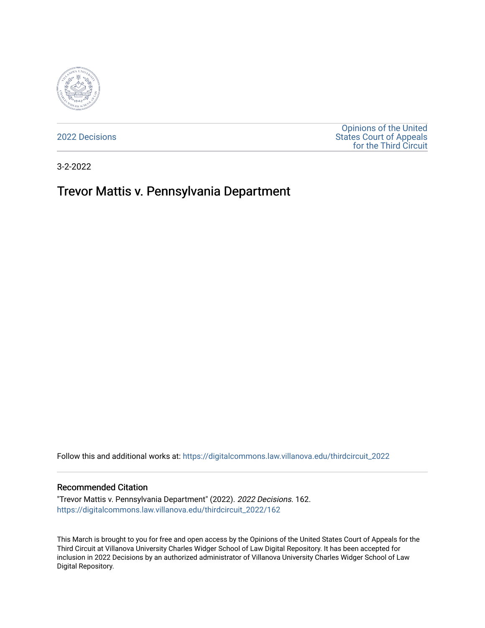

[2022 Decisions](https://digitalcommons.law.villanova.edu/thirdcircuit_2022)

[Opinions of the United](https://digitalcommons.law.villanova.edu/thirdcircuit)  [States Court of Appeals](https://digitalcommons.law.villanova.edu/thirdcircuit)  [for the Third Circuit](https://digitalcommons.law.villanova.edu/thirdcircuit) 

3-2-2022

# Trevor Mattis v. Pennsylvania Department

Follow this and additional works at: [https://digitalcommons.law.villanova.edu/thirdcircuit\\_2022](https://digitalcommons.law.villanova.edu/thirdcircuit_2022?utm_source=digitalcommons.law.villanova.edu%2Fthirdcircuit_2022%2F162&utm_medium=PDF&utm_campaign=PDFCoverPages) 

### Recommended Citation

"Trevor Mattis v. Pennsylvania Department" (2022). 2022 Decisions. 162. [https://digitalcommons.law.villanova.edu/thirdcircuit\\_2022/162](https://digitalcommons.law.villanova.edu/thirdcircuit_2022/162?utm_source=digitalcommons.law.villanova.edu%2Fthirdcircuit_2022%2F162&utm_medium=PDF&utm_campaign=PDFCoverPages)

This March is brought to you for free and open access by the Opinions of the United States Court of Appeals for the Third Circuit at Villanova University Charles Widger School of Law Digital Repository. It has been accepted for inclusion in 2022 Decisions by an authorized administrator of Villanova University Charles Widger School of Law Digital Repository.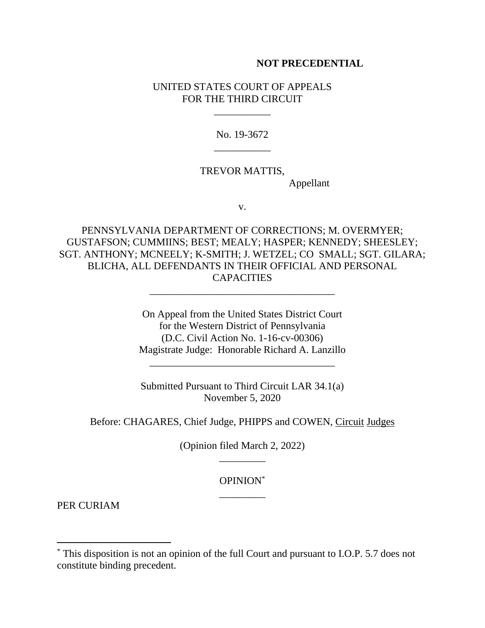## **NOT PRECEDENTIAL**

## UNITED STATES COURT OF APPEALS FOR THE THIRD CIRCUIT

\_\_\_\_\_\_\_\_\_\_\_

No. 19-3672 \_\_\_\_\_\_\_\_\_\_\_

# TREVOR MATTIS,

Appellant

v.

PENNSYLVANIA DEPARTMENT OF CORRECTIONS; M. OVERMYER; GUSTAFSON; CUMMIINS; BEST; MEALY; HASPER; KENNEDY; SHEESLEY; SGT. ANTHONY; MCNEELY; K-SMITH; J. WETZEL; CO SMALL; SGT. GILARA; BLICHA, ALL DEFENDANTS IN THEIR OFFICIAL AND PERSONAL CAPACITIES

\_\_\_\_\_\_\_\_\_\_\_\_\_\_\_\_\_\_\_\_\_\_\_\_\_\_\_\_\_\_\_\_\_\_\_\_

On Appeal from the United States District Court for the Western District of Pennsylvania (D.C. Civil Action No. 1-16-cv-00306) Magistrate Judge: Honorable Richard A. Lanzillo

Submitted Pursuant to Third Circuit LAR 34.1(a) November 5, 2020

\_\_\_\_\_\_\_\_\_\_\_\_\_\_\_\_\_\_\_\_\_\_\_\_\_\_\_\_\_\_\_\_\_\_\_\_

Before: CHAGARES, Chief Judge, PHIPPS and COWEN, Circuit Judges

(Opinion filed March 2, 2022) \_\_\_\_\_\_\_\_\_

> OPINION\* \_\_\_\_\_\_\_\_\_

PER CURIAM

<sup>\*</sup> This disposition is not an opinion of the full Court and pursuant to I.O.P. 5.7 does not constitute binding precedent.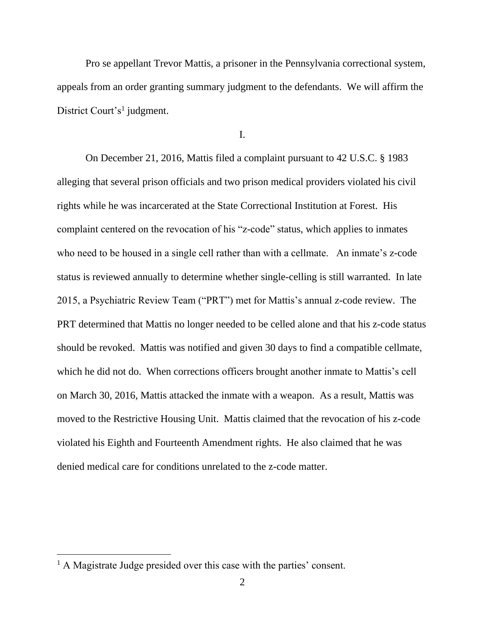Pro se appellant Trevor Mattis, a prisoner in the Pennsylvania correctional system, appeals from an order granting summary judgment to the defendants. We will affirm the District Court's<sup>1</sup> judgment.

I.

On December 21, 2016, Mattis filed a complaint pursuant to 42 U.S.C. § 1983 alleging that several prison officials and two prison medical providers violated his civil rights while he was incarcerated at the State Correctional Institution at Forest. His complaint centered on the revocation of his "z-code" status, which applies to inmates who need to be housed in a single cell rather than with a cellmate. An inmate's z-code status is reviewed annually to determine whether single-celling is still warranted. In late 2015, a Psychiatric Review Team ("PRT") met for Mattis's annual z-code review. The PRT determined that Mattis no longer needed to be celled alone and that his z-code status should be revoked. Mattis was notified and given 30 days to find a compatible cellmate, which he did not do. When corrections officers brought another inmate to Mattis's cell on March 30, 2016, Mattis attacked the inmate with a weapon. As a result, Mattis was moved to the Restrictive Housing Unit. Mattis claimed that the revocation of his z-code violated his Eighth and Fourteenth Amendment rights. He also claimed that he was denied medical care for conditions unrelated to the z-code matter.

<sup>&</sup>lt;sup>1</sup> A Magistrate Judge presided over this case with the parties' consent.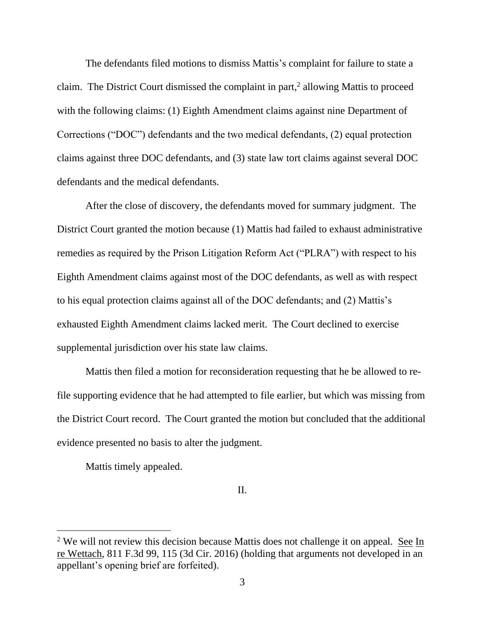The defendants filed motions to dismiss Mattis's complaint for failure to state a claim. The District Court dismissed the complaint in part, 2 allowing Mattis to proceed with the following claims: (1) Eighth Amendment claims against nine Department of Corrections ("DOC") defendants and the two medical defendants, (2) equal protection claims against three DOC defendants, and (3) state law tort claims against several DOC defendants and the medical defendants.

After the close of discovery, the defendants moved for summary judgment. The District Court granted the motion because (1) Mattis had failed to exhaust administrative remedies as required by the Prison Litigation Reform Act ("PLRA") with respect to his Eighth Amendment claims against most of the DOC defendants, as well as with respect to his equal protection claims against all of the DOC defendants; and (2) Mattis's exhausted Eighth Amendment claims lacked merit. The Court declined to exercise supplemental jurisdiction over his state law claims.

Mattis then filed a motion for reconsideration requesting that he be allowed to refile supporting evidence that he had attempted to file earlier, but which was missing from the District Court record. The Court granted the motion but concluded that the additional evidence presented no basis to alter the judgment.

Mattis timely appealed.

II.

 $2$  We will not review this decision because Mattis does not challenge it on appeal. See In re Wettach, 811 F.3d 99, 115 (3d Cir. 2016) (holding that arguments not developed in an appellant's opening brief are forfeited).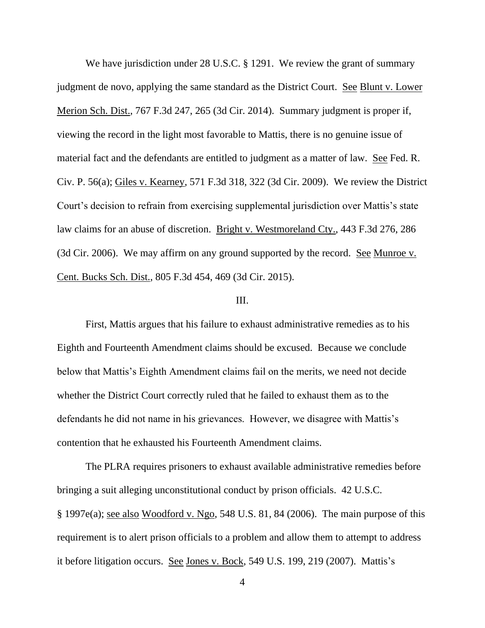We have jurisdiction under 28 U.S.C. § 1291. We review the grant of summary judgment de novo, applying the same standard as the District Court. See Blunt v. Lower Merion Sch. Dist., 767 F.3d 247, 265 (3d Cir. 2014). Summary judgment is proper if, viewing the record in the light most favorable to Mattis, there is no genuine issue of material fact and the defendants are entitled to judgment as a matter of law. See Fed. R. Civ. P. 56(a); Giles v. Kearney, 571 F.3d 318, 322 (3d Cir. 2009). We review the District Court's decision to refrain from exercising supplemental jurisdiction over Mattis's state law claims for an abuse of discretion. Bright v. Westmoreland Cty., 443 F.3d 276, 286 (3d Cir. 2006). We may affirm on any ground supported by the record. See Munroe v. Cent. Bucks Sch. Dist., 805 F.3d 454, 469 (3d Cir. 2015).

### III.

First, Mattis argues that his failure to exhaust administrative remedies as to his Eighth and Fourteenth Amendment claims should be excused. Because we conclude below that Mattis's Eighth Amendment claims fail on the merits, we need not decide whether the District Court correctly ruled that he failed to exhaust them as to the defendants he did not name in his grievances. However, we disagree with Mattis's contention that he exhausted his Fourteenth Amendment claims.

The PLRA requires prisoners to exhaust available administrative remedies before bringing a suit alleging unconstitutional conduct by prison officials. 42 U.S.C. § 1997e(a); see also Woodford v. Ngo, 548 U.S. 81, 84 (2006). The main purpose of this requirement is to alert prison officials to a problem and allow them to attempt to address it before litigation occurs. See Jones v. Bock, 549 U.S. 199, 219 (2007). Mattis's

4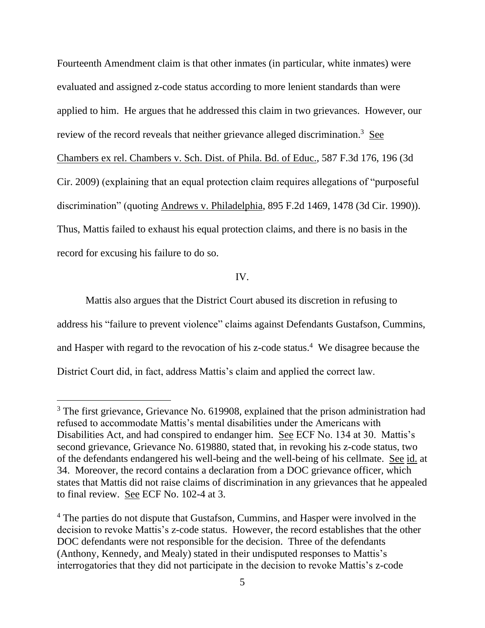Fourteenth Amendment claim is that other inmates (in particular, white inmates) were evaluated and assigned z-code status according to more lenient standards than were applied to him. He argues that he addressed this claim in two grievances. However, our review of the record reveals that neither grievance alleged discrimination.<sup>3</sup> See Chambers ex rel. Chambers v. Sch. Dist. of Phila. Bd. of Educ., 587 F.3d 176, 196 (3d Cir. 2009) (explaining that an equal protection claim requires allegations of "purposeful discrimination" (quoting Andrews v. Philadelphia, 895 F.2d 1469, 1478 (3d Cir. 1990)). Thus, Mattis failed to exhaust his equal protection claims, and there is no basis in the record for excusing his failure to do so.

## IV.

Mattis also argues that the District Court abused its discretion in refusing to address his "failure to prevent violence" claims against Defendants Gustafson, Cummins, and Hasper with regard to the revocation of his z-code status.<sup>4</sup> We disagree because the District Court did, in fact, address Mattis's claim and applied the correct law.

<sup>&</sup>lt;sup>3</sup> The first grievance, Grievance No. 619908, explained that the prison administration had refused to accommodate Mattis's mental disabilities under the Americans with Disabilities Act, and had conspired to endanger him. See ECF No. 134 at 30. Mattis's second grievance, Grievance No. 619880, stated that, in revoking his z-code status, two of the defendants endangered his well-being and the well-being of his cellmate. See id. at 34. Moreover, the record contains a declaration from a DOC grievance officer, which states that Mattis did not raise claims of discrimination in any grievances that he appealed to final review. See ECF No. 102-4 at 3.

<sup>&</sup>lt;sup>4</sup> The parties do not dispute that Gustafson, Cummins, and Hasper were involved in the decision to revoke Mattis's z-code status. However, the record establishes that the other DOC defendants were not responsible for the decision. Three of the defendants (Anthony, Kennedy, and Mealy) stated in their undisputed responses to Mattis's interrogatories that they did not participate in the decision to revoke Mattis's z-code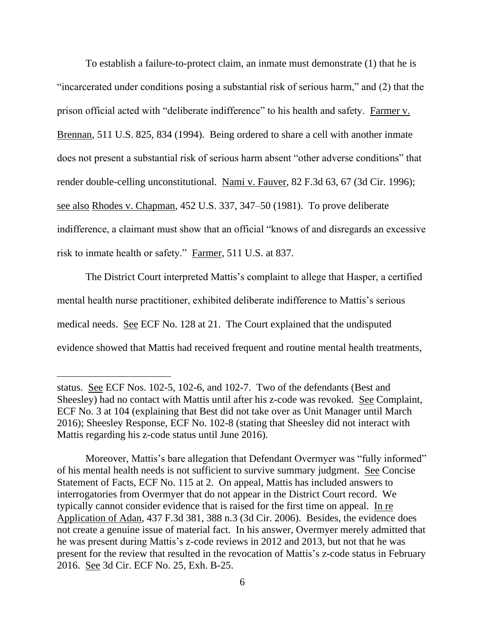To establish a failure-to-protect claim, an inmate must demonstrate (1) that he is "incarcerated under conditions posing a substantial risk of serious harm," and (2) that the prison official acted with "deliberate indifference" to his health and safety. Farmer v. Brennan, 511 U.S. 825, 834 (1994). Being ordered to share a cell with another inmate does not present a substantial risk of serious harm absent "other adverse conditions" that render double-celling unconstitutional. Nami v. Fauver, 82 F.3d 63, 67 (3d Cir. 1996); see also Rhodes v. Chapman, 452 U.S. 337, 347–50 (1981). To prove deliberate indifference, a claimant must show that an official "knows of and disregards an excessive risk to inmate health or safety." Farmer, 511 U.S. at 837.

The District Court interpreted Mattis's complaint to allege that Hasper, a certified mental health nurse practitioner, exhibited deliberate indifference to Mattis's serious medical needs. See ECF No. 128 at 21. The Court explained that the undisputed evidence showed that Mattis had received frequent and routine mental health treatments,

Moreover, Mattis's bare allegation that Defendant Overmyer was "fully informed" of his mental health needs is not sufficient to survive summary judgment. See Concise Statement of Facts, ECF No. 115 at 2. On appeal, Mattis has included answers to interrogatories from Overmyer that do not appear in the District Court record. We typically cannot consider evidence that is raised for the first time on appeal. In re Application of Adan, 437 F.3d 381, 388 n.3 (3d Cir. 2006). Besides, the evidence does not create a genuine issue of material fact. In his answer, Overmyer merely admitted that he was present during Mattis's z-code reviews in 2012 and 2013, but not that he was present for the review that resulted in the revocation of Mattis's z-code status in February 2016. See 3d Cir. ECF No. 25, Exh. B-25.

status. See ECF Nos. 102-5, 102-6, and 102-7. Two of the defendants (Best and Sheesley) had no contact with Mattis until after his z-code was revoked. See Complaint, ECF No. 3 at 104 (explaining that Best did not take over as Unit Manager until March 2016); Sheesley Response, ECF No. 102-8 (stating that Sheesley did not interact with Mattis regarding his z-code status until June 2016).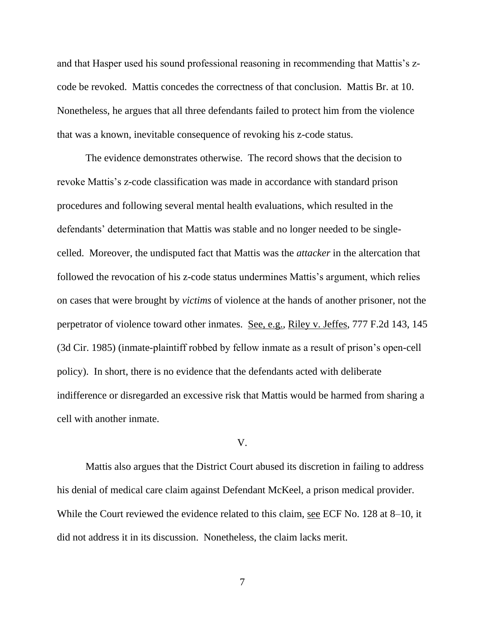and that Hasper used his sound professional reasoning in recommending that Mattis's zcode be revoked. Mattis concedes the correctness of that conclusion. Mattis Br. at 10. Nonetheless, he argues that all three defendants failed to protect him from the violence that was a known, inevitable consequence of revoking his z-code status.

The evidence demonstrates otherwise. The record shows that the decision to revoke Mattis's z-code classification was made in accordance with standard prison procedures and following several mental health evaluations, which resulted in the defendants' determination that Mattis was stable and no longer needed to be singlecelled. Moreover, the undisputed fact that Mattis was the *attacker* in the altercation that followed the revocation of his z-code status undermines Mattis's argument, which relies on cases that were brought by *victims* of violence at the hands of another prisoner, not the perpetrator of violence toward other inmates. See, e.g., Riley v. Jeffes, 777 F.2d 143, 145 (3d Cir. 1985) (inmate-plaintiff robbed by fellow inmate as a result of prison's open-cell policy). In short, there is no evidence that the defendants acted with deliberate indifference or disregarded an excessive risk that Mattis would be harmed from sharing a cell with another inmate.

#### V.

Mattis also argues that the District Court abused its discretion in failing to address his denial of medical care claim against Defendant McKeel, a prison medical provider. While the Court reviewed the evidence related to this claim, <u>see</u> ECF No. 128 at 8–10, it did not address it in its discussion. Nonetheless, the claim lacks merit.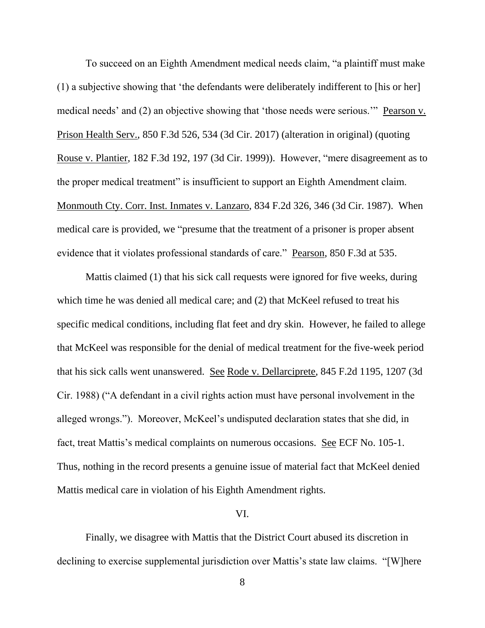To succeed on an Eighth Amendment medical needs claim, "a plaintiff must make (1) a subjective showing that 'the defendants were deliberately indifferent to [his or her] medical needs' and (2) an objective showing that 'those needs were serious.'" Pearson v. Prison Health Serv., 850 F.3d 526, 534 (3d Cir. 2017) (alteration in original) (quoting Rouse v. Plantier, 182 F.3d 192, 197 (3d Cir. 1999)). However, "mere disagreement as to the proper medical treatment" is insufficient to support an Eighth Amendment claim. Monmouth Cty. Corr. Inst. Inmates v. Lanzaro, 834 F.2d 326, 346 (3d Cir. 1987). When medical care is provided, we "presume that the treatment of a prisoner is proper absent evidence that it violates professional standards of care." Pearson, 850 F.3d at 535.

Mattis claimed (1) that his sick call requests were ignored for five weeks, during which time he was denied all medical care; and (2) that McKeel refused to treat his specific medical conditions, including flat feet and dry skin. However, he failed to allege that McKeel was responsible for the denial of medical treatment for the five-week period that his sick calls went unanswered. See Rode v. Dellarciprete, 845 F.2d 1195, 1207 (3d Cir. 1988) ("A defendant in a civil rights action must have personal involvement in the alleged wrongs."). Moreover, McKeel's undisputed declaration states that she did, in fact, treat Mattis's medical complaints on numerous occasions. See ECF No. 105-1. Thus, nothing in the record presents a genuine issue of material fact that McKeel denied Mattis medical care in violation of his Eighth Amendment rights.

#### VI.

Finally, we disagree with Mattis that the District Court abused its discretion in declining to exercise supplemental jurisdiction over Mattis's state law claims. "[W]here